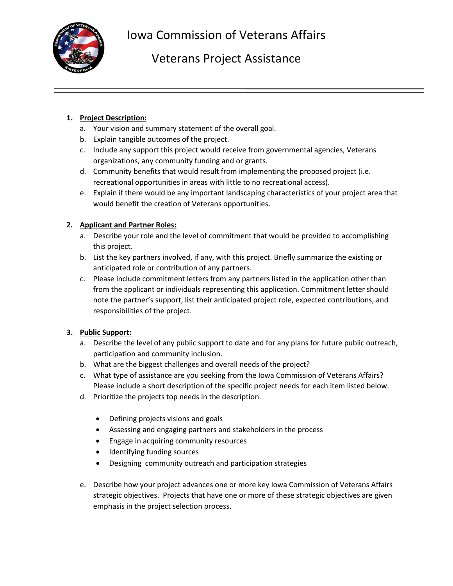

Iowa Commission of Veterans Affairs

## Veterans Project Assistance

## **1. Project Description:**

- a. Your vision and summary statement of the overall goal.
- b. Explain tangible outcomes of the project.
- c. Include any support this project would receive from governmental agencies, Veterans organizations, any community funding and or grants.
- d. Community benefits that would result from implementing the proposed project (i.e. recreational opportunities in areas with little to no recreational access).
- e. Explain if there would be any important landscaping characteristics of your project area that would benefit the creation of Veterans opportunities.

## **2. Applicant and Partner Roles:**

- a. Describe your role and the level of commitment that would be provided to accomplishing this project.
- b. List the key partners involved, if any, with this project. Briefly summarize the existing or anticipated role or contribution of any partners.
- c. Please include commitment letters from any partners listed in the application other than from the applicant or individuals representing this application. Commitment letter should note the partner's support, list their anticipated project role, expected contributions, and responsibilities of the project.

## **3. Public Support:**

- a. Describe the level of any public support to date and for any plans for future public outreach, participation and community inclusion.
- b. What are the biggest challenges and overall needs of the project?
- c. What type of assistance are you seeking from the Iowa Commission of Veterans Affairs? Please include a short description of the specific project needs for each item listed below.
- d. Prioritize the projects top needs in the description.
	- Defining projects visions and goals
	- Assessing and engaging partners and stakeholders in the process
	- Engage in acquiring community resources
	- Identifying funding sources
	- Designing community outreach and participation strategies
- e. Describe how your project advances one or more key Iowa Commission of Veterans Affairs strategic objectives. Projects that have one or more of these strategic objectives are given emphasis in the project selection process.